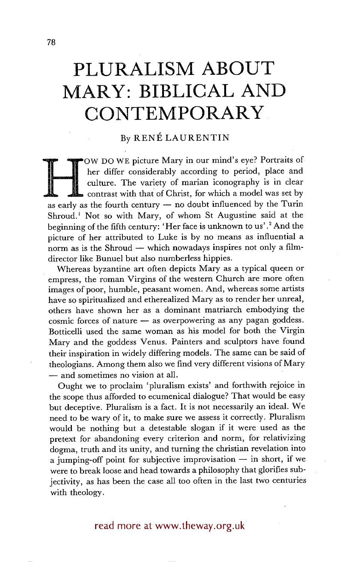# **PLURALISM ABOUT MARY: BIBLICAL AND CONTEMPORARY**

## By RENÉ LAURENTIN

Fourth century in our final state of the fourth century of marian iconography is in clear contrast with that of Christ, for which a model was set by as early as the fourth century — no doubt influenced by the Turin OW DO WE picture Mary in our mind's eye? Portraits of her differ considerably according to period, place and culture. The variety of marian iconography is in clear contrast with that of Christ, for which a model was set by Shroud.<sup> $1$ </sup> Not so with Mary, of whom St Augustine said at the beginning of the fifth century: 'Her face is unknown to us'. 2 And the picture of her attributed to Luke is by no means as influential a norm as is the Shroud  $-$  which nowadays inspires not only a filmdirector like Bunuel but also numberless hippies.

Whereas byzantine art often depicts Mary as a typical queen or empress, the roman Virgins of the western Church are more often images of poor, humble, peasant women. And, whereas some artists have so spiritualized and etherealized Mary as to render her unreal, others have shown her as a dominant matriarch embodying the cosmic forces of nature -- as overpowering as any pagan goddess. Botticelli used the same woman as his model for both the Virgin Mary and the goddess Venus. Painters and sculptors have found their inspiration in widely differing models. The same can be said of theologians. Among them also we find very different visions of Mary **--** and sometimes no vision at all.

Ought we to proclaim 'pluralism exists' and forthwith rejoice in the scope thus afforded to ecumenical dialogue? That would be easy but deceptive. Pluralism is a fact. It is not necessarily an ideal. We need to be wary of it, to make sure we assess it correctly. Pluralism would be nothing but a detestable slogan if it were used as the pretext for abandoning every criterion and norm, for relativizing dogma, truth and its unity, and turning the christian revelation into a jumping-off point for subjective improvisation  $-$  in short, if we were to break loose and head towards a philosophy that glorifies subjectivity, as has been the case all too often in the last two centuries with theology.

# read more at www.theway.org.uk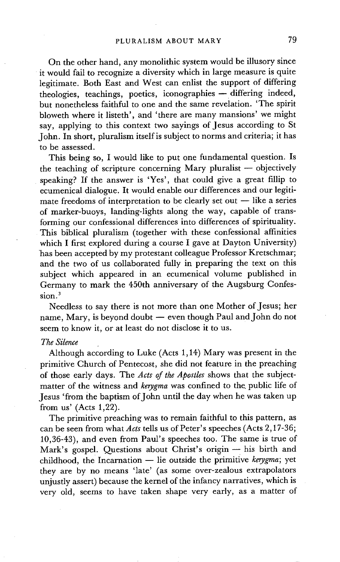On the other hand, any monolithic system would be illusory since it would fail to recognize a diversity which in large measure is quite legitimate. Both East and West can enlist the support of differing theologies, teachings, poetics, iconographies -- differing indeed, but nonetheless faithful to one and the same revelation. 'The spirit bloweth where it listeth', and 'there are many mansions' we might say, applying to this context two sayings of Jesus according to St John. In short, pluralism itself is subject to norms and criteria; it has to be assessed.

This being so, I would like to put one fundamental question. Is the teaching of scripture concerning Mary pluralist  $-$  objectively speaking? If the answer is 'Yes', that could give a great fillip to ecumenical dialogue. It would enable our differences and our legitimate freedoms of interpretation to be clearly set out  $-$  like a series of marker-buoys, landing-lights along the way, capable of transforming our confessional differences into differences of spirituality. This biblical pluralism (together with these confessional affinities which I first explored during a course I gave at Dayton University) has been accepted by my protestant colleague Professor Kretschmar; and the two of us collaborated fully in preparing the text on this subject which appeared in an ecumenical volume published in Germany to mark the 450th anniversary of the Augsburg Confession.

Needless to say there is not more than one Mother of Jesus; her name, Mary, is beyond doubt  $-$  even though Paul and John do not seem to know it, or at least do not disclose it to us.

## *The Silence*

Although according to Luke (Acts 1,14) Mary was present in the primitive Church of Pentecost, she did not feature in the preaching of those early days. The *Acts of the Apostles* shows that the subjectmatter of the witness and *kerygma* was confined to the public life of Jesus 'from the baptism of John until the day when he was taken up from us' (Acts 1,22).

The primitive preaching was to remain faithful to this pattern, as can be seen from what *Acts* tells us of Peter's speeches (Acts 2,17-36; 10,36-43), and even from Paul's speeches too. The same is true of Mark's gospel. Questions about Christ's origin - his birth and childhood, the Incarnation -- lie outside the primitive *kerygma*; yet they are by no means 'late' (as some over-zealous extrapolators unjustly assert) because the kernel of the infancy narratives, which is very old, seems to have taken shape very early, as a matter of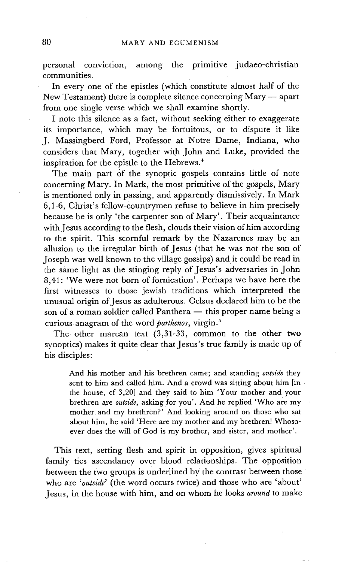personal conviction, among the primitive judaeo-christian communities.

In every one of the epistles (which constitute almost half of the New Testament) there is complete silence concerning Mary  $-$  apart from one single verse which we shall examine shortly.

I note this silence as a fact, without seeking either to exaggerate its importance, which may be fortuitous, or to dispute it like J. Massingberd Ford, Professor at Notre Dame, Indiana, who considers that Mary, together with John and Luke, provided the inspiration for the epistle to the Hebrews. 4

The main part of the synoptic gospels contains little of note concerning Mary. In Mark, the most primitive of the gospels, Mary is mentioned only in passing, and apparently dismissively. In Mark 6,1-6, Christ's fellow-countrymen refuse to believe in him precisely because he is only 'the carpenter son of Mary'. Their acquaintance with Jesus according to the flesh, clouds their vision of him according to the spirit. This scornful remark by the Nazarenes may be an allusion to the irregular birth of Jesus (that he was not the son of Joseph was well known to the village gossips) and it could be read in the same light as the stinging reply of Jesus's adversaries in John 8,41: 'We were not born of fornication'. Perhaps we have here the first witnesses to those jewish traditions which interpreted the unusual origin of Jesus as adulterous. Celsus declared him to be the son of a roman soldier called Panthera - this proper name being a curious anagram of the word *parthenos*, virgin.<sup>5</sup>

The other marcan text (3,31-33, common to the other two synoptics) makes it quite clear that Jesus's true family is made up of his disciples:

And his mother and his brethren came; and standing *outside* they sent to him and called him. And a crowd was sitting about him [in the house, cf 3,20] and they said to him 'Your mother and your brethren are *outside,* asking for you'. And he replied 'Who are my mother and my brethren?' And looking around on those who sat about him, he said 'Here are my mother and my brethren! Whosoever does the will of God is my brother, and sister, and mother'.

This text, setting flesh and spirit in opposition, gives spiritual family ties ascendancy over blood relationships. The opposition between the two groups is underlined by the contrast between those who are *'outside'* (the word occurs twice) and those who are 'about' Jesus, in the house with him, and on whom he looks *around* to make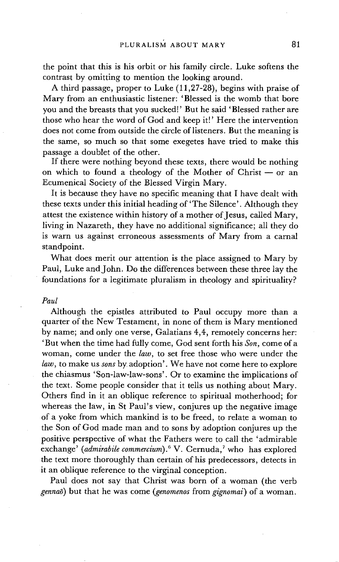the point that this is his orbit or his family circle. Luke softens the contrast by omitting to mention the looking around.

A third passage, proper to Luke (11,27-28), begins with praise of Mary from an enthusiastic listener: 'Blessed is the womb that bore you and the breasts that you sucked!' But he said 'Blessed rather are those who hear the word of God and keep it!' Here the intervention does not come from outside the circle of listeners. But the meaning is the same, so much so that some exegetes have tried to make this passage a doublet of the other.

If there were nothing beyond these texts, there would be nothing on which to found a theology of the Mother of Christ  $-$  or an Ecumenical Society of the Blessed Virgin Mary.

It is because they have no specific meaning that I have dealt with these texts under this initial heading of 'The Silence'. Although they attest the existence within history of a mother of Jesus, called Mary, living in Nazareth, they have no additional significance; all they do is warn us against *erroneous* assessments of Mary from a carnal standpoint.

What does merit our attention is the place assigned to Mary by Paul, Luke and John. Do the differences between these three lay the • foundations for a legitimate pluralism in theology and spirituality?

#### *Paul*

Although the epistles attributed to Paul occupy more than a quarter of the New Testament, in none of them is Mary mentioned by name; and only one verse, Galatians 4,4, remotely concerns her: 'But when the time had fully come, God sent forth his *Son*, come of a woman, come under the *law,* to set free those who were under the *law,* to make us *sons by* adoption'. We have not come here to explore the chiasmus 'Son-law-law-sons'. Or to examine the implications of the text. Some people consider that it tells us nothing about Mary. Others find in it an oblique reference to spiritual motherhood; for whereas the law, in St Paul's view, conjures up the negative image of a yoke from which mankind is to be freed, to relate a woman to the Son of God made man and to sons by adoption conjures up the positive perspective of what the Fathers were to call the 'admirable exchange' (admirabile commercium).<sup>6</sup> V. Cernuda,<sup>7</sup> who has explored the text more thoroughly than certain of his predecessors, detects in it an oblique reference to the virginal conception.

Paul does not say that Christ was born of a woman (the verb *gennaO)* but that he was come *(genomenos* from *gignomai)* of a woman.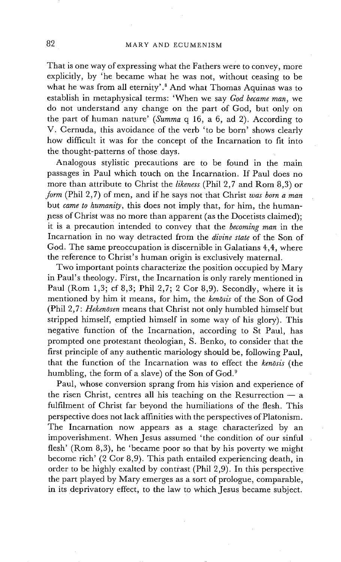That is one way of expressing what the Fathers were to convey, more explicitly, by 'he became what he was not, without ceasing to be what he was from all eternity'.<sup>8</sup> And what Thomas Aquinas was to establish in metaphysical terms: 'When we say *God became man,* we do not understand any change on the part of God, but only on the part of human nature' *(Summa* q 16, a 6, ad 2). According to V. Cernuda, this avoidance of the verb 'to be born' shows clearly how difficult it was for the concept of the Incarnation to fit into the thought-patterns of those days.

Analogous stylistic precautions are to be found in the main passages in Paul which touch on the Incarnation. If Paul does no more than attribute to Christ the *likeness* (Phil 2,7 and Rom 8,3) or *form* (Phil 2,7) of men, and if he says not that Christ *was born a man*  but *came to humanity,* this does not imply that, for him, the humanness of Christ was no more than apparent (as the Docetists claimed); it is a precaution intended to convey that the *becoming man* in the Incarnation in no way detracted from the *divine slate* of the Son of God. The same preoccupation is discernible in Galatians 4,4, where the reference to Christ's human origin is exclusively maternal.

Two important points characterize the position occupied by Mary in Paul's theology. First, the Incarnation is only rarely mentioned in Paul (Rom 1,3; cf 8,3; Phil 2,7; 2 Cor 8,9). Secondly, where it is mentioned by him it means, for him, the *kenosis* of the Son of God (Phil 2,7: *Hekenosen* means that Christ not only humbled himself but stripped himself, emptied himself in some way of his glory). This negative function of the Incarnation, according to St Paul, has prompted one protestant theologian, S. Benko, to consider that the first principle of any authentic mariology should be, following Paul, that the function of the Incarnation was to effect the *kenosis* (the humbling, the form of a slave) of the Son of God.<sup>9</sup>

Paul, whose conversion sprang from his vision and experience of the risen Christ, centres all his teaching on the Resurrection  $- a$ fulfilment of Christ far beyond the humiliations of the flesh. This perspective does not lack affinities with the perspectives of Platonism. The Incarnation now appears as a stage characterized by an impoverishment. When Jesus assumed 'the condition of our sinful flesh' (Rom 8,3), he 'became poor so that by his poverty we might become rich' (2 Cor 8,9). This path entailed experiencing death, in order to be highly exalted by contrast (Phil 2,9). In this perspective the part played by Mary emerges as a sort of prologue, comparable, in its deprivatory effect, to the law to which Jesus became subject.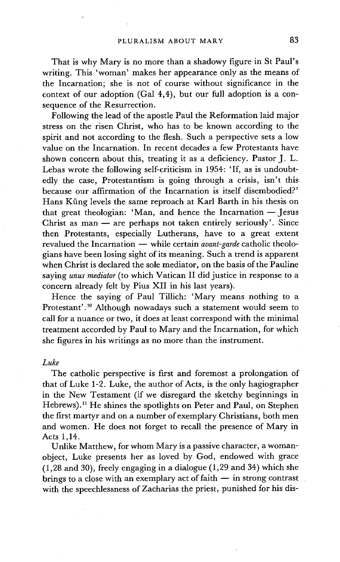That is why Mary is no more than a shadowy figure in St Paul's writing. This 'woman' makes her appearance only as the means of the Incarnation; she is not of course without significance in the context of our adoption (Gal 4,4), but our full adoption is a consequence of the Resurrection.

Following the lead of the apostle Paul the Reformation laid major stress on the risen Christ, who has to be known according to the spirit and not according to the flesh. Such a perspective sets a low value on the Incarnation. In recent decades a few Protestants have shown concern about this, treating it as a deficiency. Pastor J. L. Lebas wrote the following self-criticism in 1954: 'If, as is undoubtedly the case, Protestantism is going through a crisis, isn't this because our affirmation of the Incarnation is itself disembodied?' Hans Küng levels the same reproach at Karl Barth in his thesis on that great theologian: 'Man, and hence the Incarnation  $-$  Jesus Christ as  $man - are perhaps not taken entirely seriously'$ . Since then Protestants, especially Lutherans, have to a great extent revalued the Incarnation -- while certain *avant-garde* catholic theologians have been losing sight of its meaning. Such a trend is apparent when Christ is declared the sole mediator, on the basis of the Pauline saying *unus mediator* (to which Vatican II did justice in response to a concern already felt by Pius XII in his last years).

Hence the saying of Paul Tillich: 'Mary means nothing to a Protestant'.<sup>10</sup> Although nowadays such a statement would seem to call for a nuance or two, it does at least correspond with the minimal treatment accorded by Paul to Mary and the Incarnation, for which she figures in his writings as no more than the instrument.

### *Luke*

The catholic perspective is first and foremost a prolongation of that of Luke 1-2. Luke, the author of Acts, is the only hagiographer in the New Testament (if we disregard the sketchy beginnings in Hebrews).<sup>11</sup> He shines the spotlights on Peter and Paul, on Stephen the first martyr and on a number of exemplary Christians, both men and women. He does not forget to recall the presence of Mary in Acts 1,14.

Unlike Matthew, for whom Mary is a passive character, a womanobject, Luke presents her as loved by God, endowed with grace (1,28 and 30), freely engaging in a dialogue (1,29 and 34) which she brings to a close with an exemplary act of faith  $-$  in strong contrast with the speechlessness of Zacharias the priest, punished for his dis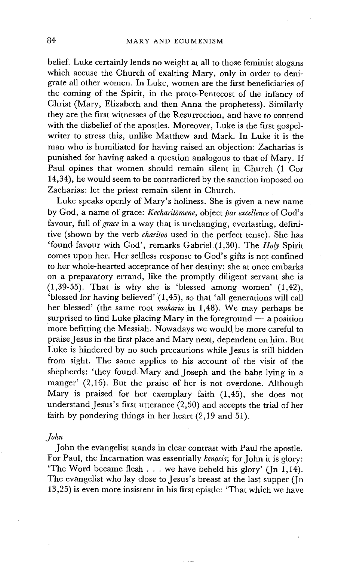belief. Luke certainly lends no weight at all to those feminist slogans which accuse the Church of exalting Mary, only in order to denigrate all other women. In Luke, women are the first beneficiaries of the coming of the Spirit, in the proto-Pentecost of the infancy of Christ (Mary, Elizabeth and then Anna the prophetess). Similarly they are the first witnesses of the Resurrection, and have to contend with the disbelief of the apostles. Moreover, Luke is the first gospelwriter to stress this, unlike Matthew and Mark. In Luke it is the man who is humiliated for having raised an objection: Zacharias is punished for having asked a question analogous to that of Mary. If Paul opines that women should remain silent in Church (1 Cor 14,34), he would seem to be contradicted by the sanction imposed on Zacharias: let the priest remain silent in Church.

Luke speaks openly of Mary's holiness. She is given a new name by God, a name of grace: *Kecharitomene,* object *par excellence* of God's favour, full of *grace* in a way that is unchanging, everlasting, definitive (shown by the Verb *charitoo* used in the perfect tense). She has 'found favour with God', remarks Gabriel (1,30). The *Holy* Spirit comes upon her. Her selfless response to God's gifts is not confined to her whole-hearted acceptance of her destiny: she at once embarks on a preparatory errand, like the promptly diligent servant she is  $(1,39-55)$ . That is why she is 'blessed among women'  $(1,42)$ , 'blessed for having believed' (1,45), so that 'all generations will call her blessed' (the same root *makaria* in 1,48). We may perhaps be surprised to find Luke placing Mary in the foreground  $-$  a position more befitting the Messiah. Nowadays we would be more careful to praise Jesus in the first place and Mary next, dependent on him. But Luke is hindered by no such precautions while Jesus is still hidden from sight. The same applies to his account of the visit of the shepherds: 'they found Mary and Joseph and the babe lying in a manger' (2,16). But the praise of her is not overdone. Although Mary is praised for her exemplary faith (1,45), she does not understand Jesus's first utterance (2,50) and accepts the trial of her faith by pondering things in her heart (2,19 and 51).

#### *John*

John the evangelist stands in clear contrast with Paul the apostle. For Paul, the Incarnation was essentially *kenosis;* for John it is glory: 'The Word became flesh  $\ldots$  we have beheld his glory' (Jn 1,14). The evangelist who lay close to Jesus's breast at the last supper (Jn 13,25) is even more insistent in his first epistle: 'That which we have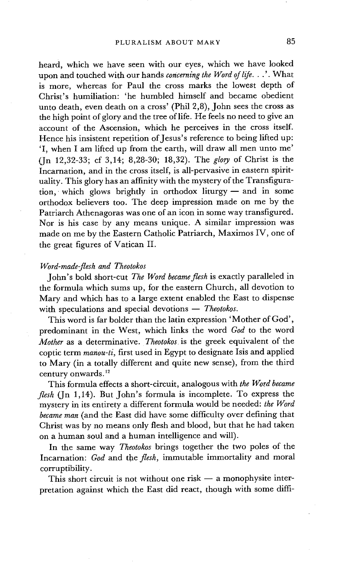heard, which we have seen with our eyes, which we have looked upon and touched with our hands *concerning the Word of life...'. .'.* What is more, whereas for Paul the cross marks the lowest depth of Christ's humiliation: 'he humbled himself and became obedient unto death, even death on a cross' (Phil 2,8), John sees the cross as the high point of glory and the tree of life. He feels no need to give an account of the Ascension, which he perceives in the cross itself. Hence his insistent repetition of Jesus's reference to being lifted up: 'I, when I am lifted up from the earth, will draw all men unto me' (Jn 12,32-33; cf 3,14; 8,28-30; 18,32). The *glory* of Christ is the Incarnation, and in the cross itself, is all-pervasive in eastern spirituality. This glory has an affinity with the mystery of the Transfiguration, which glows brightly in orthodox liturgy- and in some orthodox believers too. The deep impression made on me by the Patriarch Athenagoras was one of an icon in some way transfigured. Nor is his case by any means unique. A similar impression was made on me by the Eastern Catholic Patriarch, Maximos IV, one of the great figures of Vatican II.

#### *Word-made-flesh and Theotokos*

John's bold short-cut *The Word became flesh* is exactly paralleled in the formula which sums up, for the eastern Church, all devotion to Mary and which has to a large extent enabled the East to dispense with speculations and special devotions -- *Theotokos*.

This word is far bolder than the latin expression 'Mother of God', predominant in the West, which links the word *God* to the word *Mother* as a determinative. *Theotokos* is the greek equivalent of the coptic term *manou-ti,* first used in Egypt to designate Isis and applied to Mary (in a totally different and quite new sense), from the third century onwards.<sup>12</sup>

This formula effects a short-circuit, analogous with *the Word became flesh* (Jn 1,14). But John's formula is incomplete. To express the mystery in its entirety a different formula would be needed: *the Word became man* (and the East did have some difficulty over defining that Christ was by no means only flesh and blood, but that he had taken on a human soul and a human intelligence and will).

In the same way *Theotokos* brings together the two poles of the Incarnation: *God* and the *flesh,* immutable immortality and moral corruptibility.

This short circuit is not without one risk  $-$  a monophysite interpretation against which the East did react, though with some diffi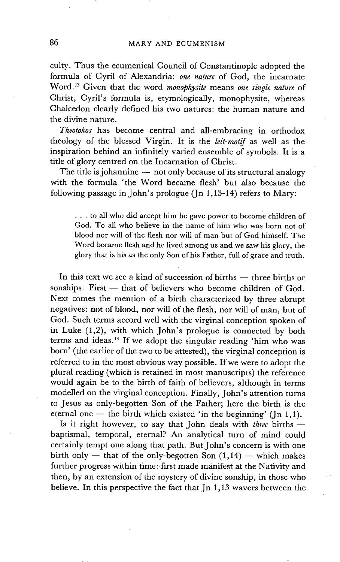culty. Thus the ecumenical Council of Constantinople adopted the formula of Cyril of Alexandria: *one nature* of God, the incarnate Word. j3 Given that the word *monophysite* means *one single nature* of Christ, Cyril's formula is, etymologically, monophysite, whereas Chalcedon clearly defined his two natures: the human nature and the divine nature.

*Theotokos* has become central and all-embracing in orthodox theology of the blessed Virgin. It is the *leit-motif* as well as the inspiration behind an infinitely varied ensemble of symbols. It is a title of glory centred on the Incarnation of Christ.

The title is johannine  $-$  not only because of its structural analogy with the formula 'the Word became flesh' but also because the following passage in John's prologue (Jn 1,13-14) refers to Mary:

... to all who did accept him he gave power to become children of God. To all who believe in the name of him who was born not of blood nor will of the flesh nor will of man but of God himself. The Word became flesh and he lived among us and we saw his glory, the glory that is his as the only Son of his Father, full of grace and truth.

In this text we see a kind of succession of births  $-$  three births or sonships. First  $-$  that of believers who become children of God. Next comes the mention of a birth characterized by three abrupt negatives: not of blood, nor will of the flesh, nor will of man, but of God. Such terms accord well with the virginal conception spoken of in Luke  $(1,2)$ , with which John's prologue is connected by both terms and ideas.<sup>14</sup> If we adopt the singular reading 'him who was born' (the earlier of the two to be attested), the virginal conception is referred to in the most obvious way possible. If we were to adopt the plural reading (which is retained in most manuscripts) the reference would again be to the birth of faith of believers, although in terms modelled on the virginal conception. Finally, John's attention turns to Jesus as only-begotten Son of the Father; here the birth is the eternal one  $-$  the birth which existed 'in the beginning' (Jn 1,1).

Is it right however, to say that John deals with *three* births -baptismal, temporal, eternal? An analytical turn of mind could certainly tempt one along that path. But John's concern is with one birth only  $-$  that of the only-begotten Son  $(1,14)$   $-$  which makes further progress within time: first made manifest at the Nativity and then, by an extension of the mystery of divine sonship, in those who believe. In this perspective the fact that Jn 1,13 wavers between the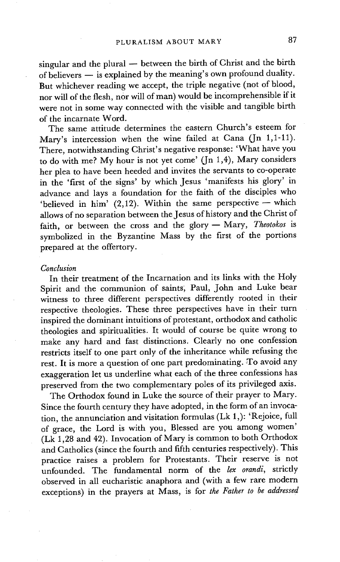singular and the plural  $-$  between the birth of Christ and the birth of believers  $-$  is explained by the meaning's own profound duality. But whichever reading we accept, the triple negative (not of blood, nor will of the flesh, nor will of man) would be incomprehensible if it were not in some way connected with the visible and tangible birth of the incarnate Word.

The same attitude determines the eastern Church's esteem for Mary's intercession when the wine failed at Cana  $($ In 1,1-11 $).$ There, notwithstanding Christ's negative response: 'What have you to do with me? My hour is not yet come' (Jn 1,4), Mary considers her plea to have been heeded and invites the servants to co-operate in the 'first of the signs' by which Jesus 'manifests his glory' in advance and lays a foundation for the faith of the disciples who 'believed in him' (2,12). Within the same perspective - which allows of no separation between the Jesus of history and the Christ of faith, or between the cross and the glory- Mary, *Theotokos* is symbolized in the Byzantine Mass by the first of the portions prepared at the offertory.

### *Conclusion*

In their treatment of the Incarnation and its links with the Holy Spirit and the communion of saints; Paul, John and Luke bear witness to three different perspectives differently rooted in their respective theologies. These three perspectives have in their turn inspired the dominant intuitions of protestant, orthodox and catholic theologies and spiritualities. It would of course be quite wrong to make any hard and fast distinctions. Clearly no one confession restricts itself to one part only of the inheritance while refusing the rest. It is more a question of one part predominating. To avoid any exaggeration let us underline what each of the three confessions has preserved from the two complementary poles of its privileged axis.

The Orthodox found in Luke the source of their prayer to Mary. Since the fourth century they have adopted, in the form of an invocation, the annunciation and visitation formulas (Lk 1,): 'Rejoice, full of grace, the Lord is with you, Blessed are you among women' (Lk 1,28 and 42). Invocation of Mary is common to both Orthodox and Catholics (since the fourth and fifth centuries respectively). This practice raises a problem for Protestants. Their reserve is not unfounded. The fundamental norm of the *lex orandi,* strictly observed in all eucharistic anaphora and (with a few rare modern exceptions) in the prayers at Mass, is for *the Father to be addressed*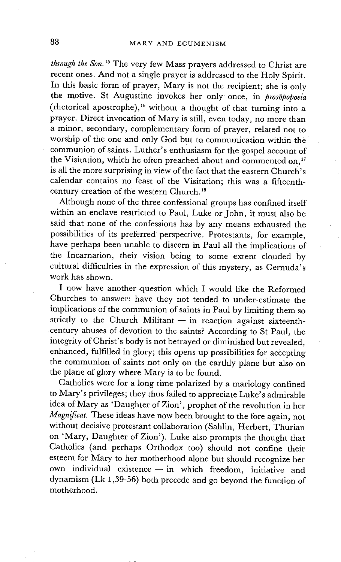*through the Son. 15* The very few Mass prayers addressed to Christ are recent ones. And not a single prayer is addressed to the Holy Spirit. In this basic form of prayer, Mary is not the recipient; she is only the motive. St Augustine invokes her only once, in *prosopopoeia*  (rhetorical apostrophe),<sup>16</sup> without a thought of that turning into a prayer. Direct invocation of Mary is still, even today, no more than a minor, secondary, complementary form of prayer, related not to worship of the one and only God but to communication within the communion of saints. Luther's enthusiasm for the gospel account of the Visitation, which he often preached about and commented on,<sup>17</sup> is all the more surprising in view of the fact that the eastern Church's calendar contains no feast of the Visitation; this was a fifteenthcentury creation of the western Church.<sup>18</sup>

Although none of the three confessional groups has confined itself within an enclave restricted to Paul, Luke or John, it must also be said that none of the confessions has by any means exhausted the possibilities of its preferred perspective. Protestants, for example, have perhaps been unable to discern in Paul all the implications of the Incarnation, their vision being to some extent clouded by cultural difficulties in the expression of this mystery, as Cernuda's work has shown.

I now have another question which I would like the Reformed Churches to answer: have they not tended to under-estimate the implications of the communion of saints in Paul by limiting them so strictly to the Church Militant  $-$  in reaction against sixteenthcentury abuses of devotion to the saints? According to St Paul, the integrity of Christ's body is not betrayed or diminished but revealed, enhanced, fulfilled in glory; this opens up possibilities for accepting the communion of saints not only on the earthly plane but also on the plane of glory where Mary is to be found.

Catholics were for a long time polarized by a mariology confined to Mary's privileges; they thus failed to appreciate Luke's admirable idea of Mary as 'Daughter of Zion', prophet of the revolution in her *Magnificat.* These ideas have now been brought to the fore again, not without decisive protestant collaboration (Sahlin, Herbert, Thurian on 'Mary, Daughter of Zion'). Luke also prompts the thought that Catholics (and perhaps Orthodox too) should not confine their esteem for Mary to her motherhood alone but should recognize her own individual existence  $-$  in which freedom, initiative and dynamism (Lk 1,39-56) both precede and go beyond the function of motherhood.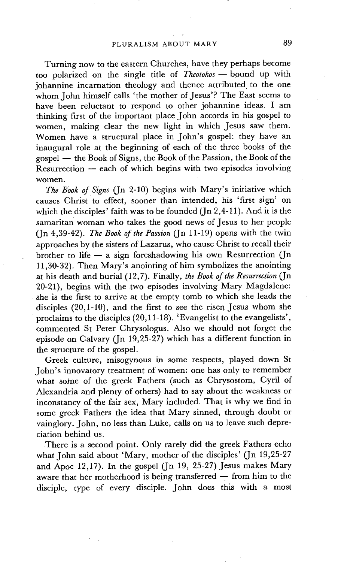Turning now to the eastern Churches, have they perhaps become too polarized on the single title of *Theotokos-* bound up with johannine incarnation theology and thence attributed to the one whom John himself calls 'the mother of Jesus'? The East seems to have been reluctant to respond to other johannine ideas. I am thinking first of the important place John accords in his gospel to women, making clear the new light in which Jesus saw them. Women have a structural place in John's gospel: they have an inaugural role at the beginning of each of the three books of the gospel — the Book of Signs, the Book of the Passion, the Book of the  $Resurrection - each of which begins with two episodes involving$ women.

*The Book of Signs* (Jn 2-10) begins with Mary's initiative which causes Christ to effect, sooner than intended, his 'first sign' on which the disciples' faith was to be founded ( $\text{In } 2,4-11$ ). And it is the samaritan woman who takes the good news of Jesus to her people (Jn 4,39-42). *The Book of the Passion* (Jn 11-19) opens with the twin approaches by the sisters of Lazarus, who cause Christ to recall their brother to life  $-$  a sign foreshadowing his own Resurrection (Jn 11,30-32). Then Mary's anointing of him symbolizes the anointing at his death and burial (12,7). Finally, *the Book of the Resurrection* (Jn 20-21), begins with the two episodes involving Mary Magdalene: she is the first to arrive at the empty tomb to which she leads the disciples (20,1-10), and the first to see the risen Jesus whom she proclaims to the disciples  $(20, 11-18)$ . 'Evangelist to the evangelists', commented St Peter Chrysologus. Also we should not forget the episode on Calvary (Jn 19,25-27) which has a different function in the structure of the gospel.

Greek culture, misogynous in some respects, played down St John's innovatory treatment of women: one has only to remember what some of the greek Fathers (such as Chrysostom, Cyril of Alexandria and plenty of others) had to say about the weakness or inconstancy of the fair sex, Mary included. That is why we find in some greek Fathers the idea that Mary sinned, through doubt or vainglory. John, no less than Luke, calls on us to leave such depreciation behind us.

There is a second point. Only rarely did the greek Fathers echo what John said about 'Mary, mother of the disciples' (Jn 19,25-27 and Apoc 12,17). In the gospel (Jn 19, 25-27) Jesus makes Mary aware that her motherhood is being transferred  $-$  from him to the disciple, type of every disciple. John does this with a most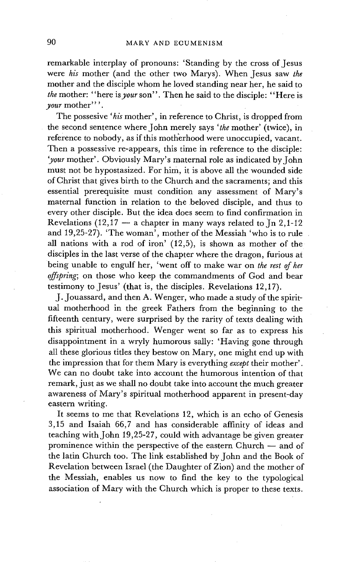remarkable interplay of pronouns: 'Standing by the cross of Jesus were *his* mother (and the other two Marys). When Jesus saw *the*  mother and the disciple whom he loved standing near her, he said to *the* mother: "here *isyour* son". Then he said to the disciple: "Here is *your* mother".

The possesive *'his* mother', in reference to Christ, is dropped from the second sentence where John merely says *'the* mother' (twice), in reference to nobody, as if this motherhood were unoccupied, vacant. Then a possessive re-appears, this time in reference to the disciple: *'your* mother'. Obviously Mary's maternal role as indicated by John must not be hypostasized. For him, it is above all the wounded side of Christ that gives birth to the Church and the sacraments; and this essential prerequisite must condition any assessment of Mary's maternal function in relation to the beloved disciple, and thus to every other disciple. But the idea does seem to find confirmation in Revelations (12,17 -- a chapter in many ways related to  $\text{In } 2,1-12$ and 19,25-27). 'The woman', mother of the Messiah 'who is to rule all nations with a rod of iron' (12,5), is shown as mother of the disciples in the last verse of the chapter where the dragon, furious at being unable to engulf her, 'went off to make war on *the rest of her offspring;* on those who keep the commandments of God and bear testimony to Jesus' (that is, the disciples. Revelations 12,17).

J. Jouassard, and then A. Wenger, who made a study of the spiritual motherhood in the greek Fathers from the beginning to the fifteenth century, were surprised by the rarity of texts dealing with this spiritual motherhood. Wenger went so far as to express his disappointment in a wryly humorous sally: 'Having gone through all these glorious titles they bestow on Mary, one might end up with the impression that for them Mary is everything *except* their mother'. We can no doubt take into account the humorous intention of that remark, just as we shall no doubt take into account the much greater awareness of Mary's spiritual motherhood apparent in present-day eastern writing.

It seems to me that Revelations 12, which is an echo of Genesis 3,15 and Isaiah 66,7 and has considerable affinity of ideas and teaching with John 19,25-27, could with advantage be given greater prominence within the perspective of the eastern  $Church - and of$ the latin Church too. The link established by John and the Book of Revelation between Israel (the Daughter of Zion) and the mother of the Messiah, enables us now to find the key to the typological association of Mary with the Church which is proper to these texts.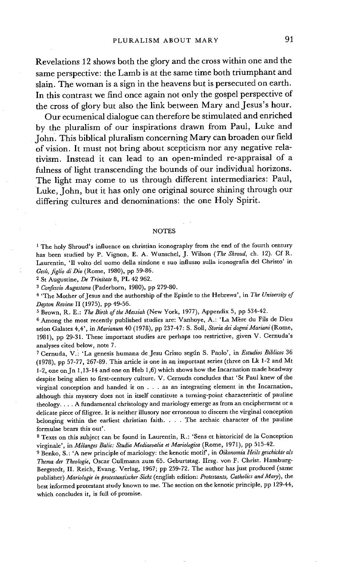**Revelations 12 shows both the glory and the cross within one and the same perspective: the Lamb is at the same time both triumphant and slain. The woman is a sign in the heavens but is persecuted on earth. In this contrast we find once again not only the gospel perspective of the cross of glory but also the link between Mary and Jesus's hour.** 

**Our ecumenical dialogue can therefore be stimulated and enriched by the pluralism of our inspirations drawn from Paul, Luke and John. This biblical pluralism concerning Mary can broaden our field of vision. It must not bring about scepticism nor any negative relativism. Instead it can lead to an open-minded re-appraisal of a fulness of light transcending the bounds of our individual horizons. The light may come to us through different intermediaries: Paul, Luke, John, but it has only one original source shining through our differing cultures and denominations: the one Holy Spirit.** 

#### **NOTES**

<sup>1</sup> The holy Shroud's influence on christian iconography from the end of the fourth century has been studied by P. Vignon, E. A. Wunschel, J. Wilson *(The Shroud,* ch. 12). Cf R. Laurentin, 'II volto del uomo della sindone e suo influsso sulla iconografia del Christo' in *Gesi~, figlio di Dio* (Rome, 1980), pp 59-86.

<sup>2</sup> St Augustine, *De Trinitate* 8, PL 42 962.

*3 Confessio Augustana* (Paderborn, 1980), pp 279-80.

4 'The Mother of Jesus and the authorship of the Epistle to the Hebrews', in *The University of Dayton Review* II (1975), pp 49-56.

5 Brown, R. E.: *The Birth of the Messiah* (New York, 1977), Appendix 5, pp 534-42.

<sup>6</sup> Among the most recently published studies are: Vanhoye, A.: 'La Mère du Fils de Dieu selon Galates 4,4', in *Marianum* 40 (1978), pp 237-47: S. Soll, *Storia dei dogmi Mariani* (Rome, 1981), pp 29-31. These important studies are perhaps too restrictive, given V. Cernuda's analyses cited below, note 7.

7 Cernuda, V.i 'La genesis humana de Jesu Cristo segfn S. Paolo', in *Estudios Biblicos* 36 (1978), pp 57-77, 267-89. This article is one in an important series (three on Lk 1-2 and Mt 1-2, one onJn 1,13-14 and one on Heb 1,6) which shows how the Incarnation made headway despite being alien to first-century culture. V. Cernuda concludes that 'St Paul knew of the virginal conception and handed it on . • . as an integrating element in the Incarnation, although this mystery does not in itself constitute a turning-point characteristic of pauline theology .... A fundamental christology and mariology emerge as from an encipherment or a delicate piece of filigree. It is neither illusory nor erroneous to discern the virginal conception belonging within the earliest christian faith .... The archaic character of the pauline formulae bears this out'.

<sup>8</sup> Texts on this subject can be found in Laurentin, R.: 'Sens et historicité de la Conception virginale', in *Mglanges Balic: Studia Mediaevalia et Mariologica* (Rome, 1971), pp 515-42.

9 Benko, S. : 'A new principle of mariology: the kenotic motif', in *Oikonomia Heils geschichte als Thema der Theologic,* Oscar Cullmann zum 65. Geburtstag. IIrsg. yon F. Christ. Hamburg-Bergstedt, II. Reich, Evang. Verlag, 1967; pp 259-72. The author has just produced (same publisher) *Mariologie in protestantischer Sicht* (english edition: *Protestants, Catholics and Mary),* the best informed protestant study known to me. The section on the kenotic principle, pp 129-44, which concludes it, is full of promise.